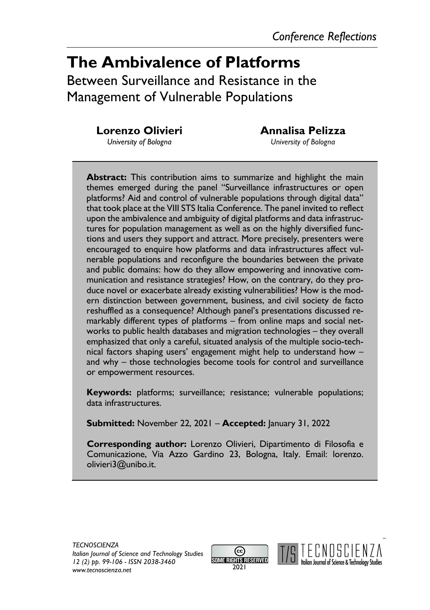# **The Ambivalence of Platforms** Between Surveillance and Resistance in the Management of Vulnerable Populations

**Lorenzo Olivieri**

**Annalisa Pelizza**

*University of Bologna*

*University of Bologna*

**Abstract:** This contribution aims to summarize and highlight the main themes emerged during the panel "Surveillance infrastructures or open platforms? Aid and control of vulnerable populations through digital data" that took place at the VIII STS Italia Conference. The panel invited to reflect upon the ambivalence and ambiguity of digital platforms and data infrastructures for population management as well as on the highly diversified functions and users they support and attract. More precisely, presenters were encouraged to enquire how platforms and data infrastructures affect vulnerable populations and reconfigure the boundaries between the private and public domains: how do they allow empowering and innovative communication and resistance strategies? How, on the contrary, do they produce novel or exacerbate already existing vulnerabilities? How is the modern distinction between government, business, and civil society de facto reshuffled as a consequence? Although panel's presentations discussed remarkably different types of platforms – from online maps and social networks to public health databases and migration technologies – they overall emphasized that only a careful, situated analysis of the multiple socio-technical factors shaping users' engagement might help to understand how – and why – those technologies become tools for control and surveillance or empowerment resources.

**Keywords:** platforms; surveillance; resistance; vulnerable populations; data infrastructures.

**Submitted:** November 22, 2021 – **Accepted:** January 31, 2022

**Corresponding author:** Lorenzo Olivieri, Dipartimento di Filosofia e Comunicazione, Via Azzo Gardino 23, Bologna, Italy. Email: lorenzo. olivieri3@unibo.it.



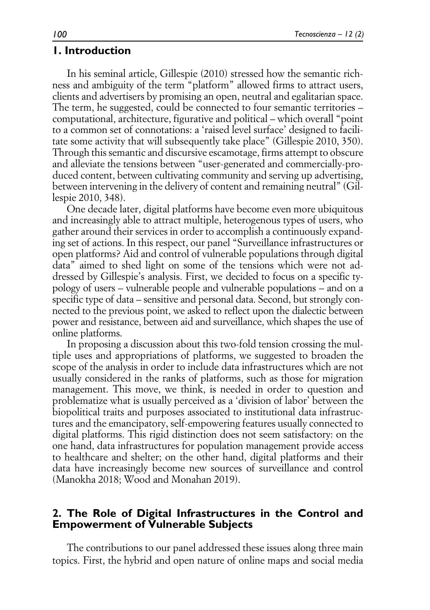### **1. Introduction**

In his seminal article, Gillespie (2010) stressed how the semantic richness and ambiguity of the term "platform" allowed firms to attract users, clients and advertisers by promising an open, neutral and egalitarian space. The term, he suggested, could be connected to four semantic territories – computational, architecture, figurative and political – which overall "point to a common set of connotations: a 'raised level surface' designed to facilitate some activity that will subsequently take place" (Gillespie 2010, 350). Through this semantic and discursive escamotage, firms attempt to obscure and alleviate the tensions between "user-generated and commercially-produced content, between cultivating community and serving up advertising, between intervening in the delivery of content and remaining neutral" (Gillespie 2010, 348).

One decade later, digital platforms have become even more ubiquitous and increasingly able to attract multiple, heterogenous types of users, who gather around their services in order to accomplish a continuously expanding set of actions. In this respect, our panel "Surveillance infrastructures or open platforms? Aid and control of vulnerable populations through digital data" aimed to shed light on some of the tensions which were not addressed by Gillespie's analysis. First, we decided to focus on a specific typology of users – vulnerable people and vulnerable populations – and on a specific type of data – sensitive and personal data. Second, but strongly connected to the previous point, we asked to reflect upon the dialectic between power and resistance, between aid and surveillance, which shapes the use of online platforms.

In proposing a discussion about this two-fold tension crossing the multiple uses and appropriations of platforms, we suggested to broaden the scope of the analysis in order to include data infrastructures which are not usually considered in the ranks of platforms, such as those for migration management. This move, we think, is needed in order to question and problematize what is usually perceived as a 'division of labor' between the biopolitical traits and purposes associated to institutional data infrastructures and the emancipatory, self-empowering features usually connected to digital platforms. This rigid distinction does not seem satisfactory: on the one hand, data infrastructures for population management provide access to healthcare and shelter; on the other hand, digital platforms and their data have increasingly become new sources of surveillance and control (Manokha 2018; Wood and Monahan 2019).

#### **2. The Role of Digital Infrastructures in the Control and Empowerment of Vulnerable Subjects**

The contributions to our panel addressed these issues along three main topics. First, the hybrid and open nature of online maps and social media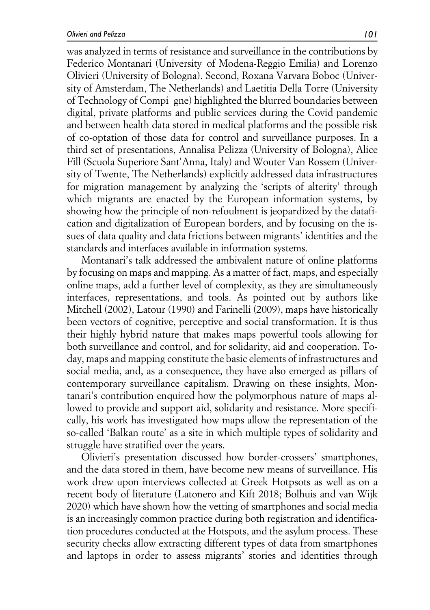was analyzed in terms of resistance and surveillance in the contributions by Federico Montanari (University of Modena-Reggio Emilia) and Lorenzo Olivieri (University of Bologna). Second, Roxana Varvara Boboc (University of Amsterdam, The Netherlands) and Laetitia Della Torre (University of Technology of Compi gne) highlighted the blurred boundaries between digital, private platforms and public services during the Covid pandemic and between health data stored in medical platforms and the possible risk of co-optation of those data for control and surveillance purposes. In a third set of presentations, Annalisa Pelizza (University of Bologna), Alice Fill (Scuola Superiore Sant'Anna, Italy) and Wouter Van Rossem (University of Twente, The Netherlands) explicitly addressed data infrastructures for migration management by analyzing the 'scripts of alterity' through which migrants are enacted by the European information systems, by showing how the principle of non-refoulment is jeopardized by the datafication and digitalization of European borders, and by focusing on the issues of data quality and data frictions between migrants' identities and the standards and interfaces available in information systems.

Montanari's talk addressed the ambivalent nature of online platforms by focusing on maps and mapping. As a matter of fact, maps, and especially online maps, add a further level of complexity, as they are simultaneously interfaces, representations, and tools. As pointed out by authors like Mitchell (2002), Latour (1990) and Farinelli (2009), maps have historically been vectors of cognitive, perceptive and social transformation. It is thus their highly hybrid nature that makes maps powerful tools allowing for both surveillance and control, and for solidarity, aid and cooperation. Today, maps and mapping constitute the basic elements of infrastructures and social media, and, as a consequence, they have also emerged as pillars of contemporary surveillance capitalism. Drawing on these insights, Montanari's contribution enquired how the polymorphous nature of maps allowed to provide and support aid, solidarity and resistance. More specifically, his work has investigated how maps allow the representation of the so-called 'Balkan route' as a site in which multiple types of solidarity and struggle have stratified over the years.

Olivieri's presentation discussed how border-crossers' smartphones, and the data stored in them, have become new means of surveillance. His work drew upon interviews collected at Greek Hotpsots as well as on a recent body of literature (Latonero and Kift 2018; Bolhuis and van Wijk 2020) which have shown how the vetting of smartphones and social media is an increasingly common practice during both registration and identification procedures conducted at the Hotspots, and the asylum process. These security checks allow extracting different types of data from smartphones and laptops in order to assess migrants' stories and identities through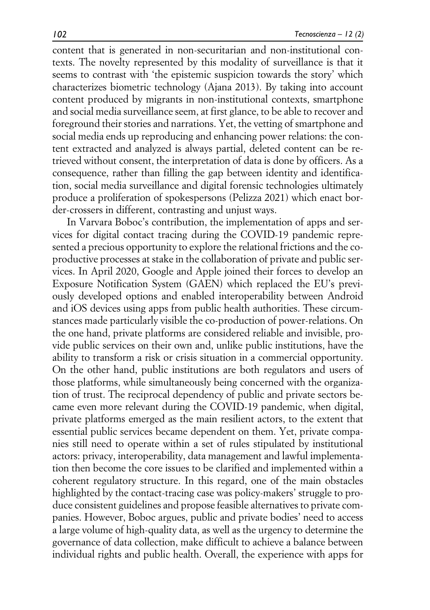content that is generated in non-securitarian and non-institutional contexts. The novelty represented by this modality of surveillance is that it seems to contrast with 'the epistemic suspicion towards the story' which characterizes biometric technology (Ajana 2013). By taking into account content produced by migrants in non-institutional contexts, smartphone and social media surveillance seem, at first glance, to be able to recover and foreground their stories and narrations. Yet, the vetting of smartphone and social media ends up reproducing and enhancing power relations: the content extracted and analyzed is always partial, deleted content can be retrieved without consent, the interpretation of data is done by officers. As a consequence, rather than filling the gap between identity and identification, social media surveillance and digital forensic technologies ultimately produce a proliferation of spokespersons (Pelizza 2021) which enact border-crossers in different, contrasting and unjust ways.

In Varvara Boboc's contribution, the implementation of apps and services for digital contact tracing during the COVID-19 pandemic represented a precious opportunity to explore the relational frictions and the coproductive processes at stake in the collaboration of private and public services. In April 2020, Google and Apple joined their forces to develop an Exposure Notification System (GAEN) which replaced the EU's previously developed options and enabled interoperability between Android and iOS devices using apps from public health authorities. These circumstances made particularly visible the co-production of power-relations. On the one hand, private platforms are considered reliable and invisible, provide public services on their own and, unlike public institutions, have the ability to transform a risk or crisis situation in a commercial opportunity. On the other hand, public institutions are both regulators and users of those platforms, while simultaneously being concerned with the organization of trust. The reciprocal dependency of public and private sectors became even more relevant during the COVID-19 pandemic, when digital, private platforms emerged as the main resilient actors, to the extent that essential public services became dependent on them. Yet, private companies still need to operate within a set of rules stipulated by institutional actors: privacy, interoperability, data management and lawful implementation then become the core issues to be clarified and implemented within a coherent regulatory structure. In this regard, one of the main obstacles highlighted by the contact-tracing case was policy-makers' struggle to produce consistent guidelines and propose feasible alternatives to private companies. However, Boboc argues, public and private bodies' need to access a large volume of high-quality data, as well as the urgency to determine the governance of data collection, make difficult to achieve a balance between individual rights and public health. Overall, the experience with apps for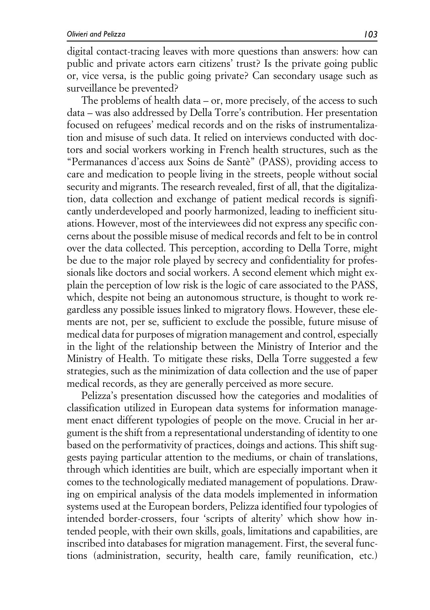digital contact-tracing leaves with more questions than answers: how can public and private actors earn citizens' trust? Is the private going public or, vice versa, is the public going private? Can secondary usage such as surveillance be prevented?

The problems of health data – or, more precisely, of the access to such data – was also addressed by Della Torre's contribution. Her presentation focused on refugees' medical records and on the risks of instrumentalization and misuse of such data. It relied on interviews conducted with doctors and social workers working in French health structures, such as the "Permanances d'access aux Soins de Santè" (PASS), providing access to care and medication to people living in the streets, people without social security and migrants. The research revealed, first of all, that the digitalization, data collection and exchange of patient medical records is significantly underdeveloped and poorly harmonized, leading to inefficient situations. However, most of the interviewees did not express any specific concerns about the possible misuse of medical records and felt to be in control over the data collected. This perception, according to Della Torre, might be due to the major role played by secrecy and confidentiality for professionals like doctors and social workers. A second element which might explain the perception of low risk is the logic of care associated to the PASS, which, despite not being an autonomous structure, is thought to work regardless any possible issues linked to migratory flows. However, these elements are not, per se, sufficient to exclude the possible, future misuse of medical data for purposes of migration management and control, especially in the light of the relationship between the Ministry of Interior and the Ministry of Health. To mitigate these risks, Della Torre suggested a few strategies, such as the minimization of data collection and the use of paper medical records, as they are generally perceived as more secure.

Pelizza's presentation discussed how the categories and modalities of classification utilized in European data systems for information management enact different typologies of people on the move. Crucial in her argument is the shift from a representational understanding of identity to one based on the performativity of practices, doings and actions. This shift suggests paying particular attention to the mediums, or chain of translations, through which identities are built, which are especially important when it comes to the technologically mediated management of populations. Drawing on empirical analysis of the data models implemented in information systems used at the European borders, Pelizza identified four typologies of intended border-crossers, four 'scripts of alterity' which show how intended people, with their own skills, goals, limitations and capabilities, are inscribed into databases for migration management. First, the several functions (administration, security, health care, family reunification, etc.)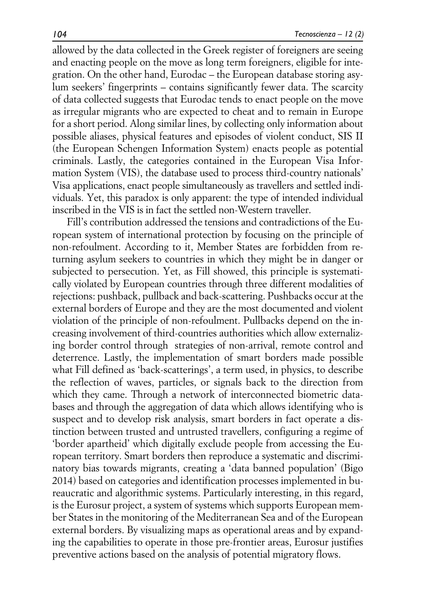allowed by the data collected in the Greek register of foreigners are seeing and enacting people on the move as long term foreigners, eligible for integration. On the other hand, Eurodac – the European database storing asylum seekers' fingerprints – contains significantly fewer data. The scarcity of data collected suggests that Eurodac tends to enact people on the move as irregular migrants who are expected to cheat and to remain in Europe for a short period. Along similar lines, by collecting only information about possible aliases, physical features and episodes of violent conduct, SIS II (the European Schengen Information System) enacts people as potential criminals. Lastly, the categories contained in the European Visa Information System (VIS), the database used to process third-country nationals' Visa applications, enact people simultaneously as travellers and settled individuals. Yet, this paradox is only apparent: the type of intended individual inscribed in the VIS is in fact the settled non-Western traveller.

Fill's contribution addressed the tensions and contradictions of the European system of international protection by focusing on the principle of non-refoulment. According to it, Member States are forbidden from returning asylum seekers to countries in which they might be in danger or subjected to persecution. Yet, as Fill showed, this principle is systematically violated by European countries through three different modalities of rejections: pushback, pullback and back-scattering. Pushbacks occur at the external borders of Europe and they are the most documented and violent violation of the principle of non-refoulment. Pullbacks depend on the increasing involvement of third-countries authorities which allow externalizing border control through strategies of non-arrival, remote control and deterrence. Lastly, the implementation of smart borders made possible what Fill defined as 'back-scatterings', a term used, in physics, to describe the reflection of waves, particles, or signals back to the direction from which they came. Through a network of interconnected biometric databases and through the aggregation of data which allows identifying who is suspect and to develop risk analysis, smart borders in fact operate a distinction between trusted and untrusted travellers, configuring a regime of 'border apartheid' which digitally exclude people from accessing the European territory. Smart borders then reproduce a systematic and discriminatory bias towards migrants, creating a 'data banned population' (Bigo 2014) based on categories and identification processes implemented in bureaucratic and algorithmic systems. Particularly interesting, in this regard, is the Eurosur project, a system of systems which supports European member States in the monitoring of the Mediterranean Sea and of the European external borders. By visualizing maps as operational areas and by expanding the capabilities to operate in those pre-frontier areas, Eurosur justifies preventive actions based on the analysis of potential migratory flows.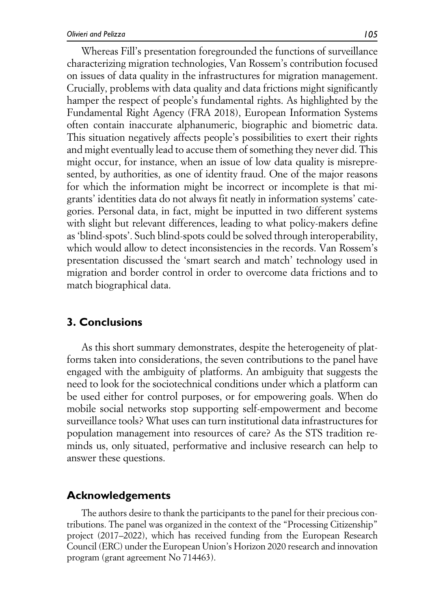Whereas Fill's presentation foregrounded the functions of surveillance characterizing migration technologies, Van Rossem's contribution focused on issues of data quality in the infrastructures for migration management. Crucially, problems with data quality and data frictions might significantly hamper the respect of people's fundamental rights. As highlighted by the Fundamental Right Agency (FRA 2018), European Information Systems often contain inaccurate alphanumeric, biographic and biometric data. This situation negatively affects people's possibilities to exert their rights and might eventually lead to accuse them of something they never did. This might occur, for instance, when an issue of low data quality is misrepresented, by authorities, as one of identity fraud. One of the major reasons for which the information might be incorrect or incomplete is that migrants' identities data do not always fit neatly in information systems' categories. Personal data, in fact, might be inputted in two different systems with slight but relevant differences, leading to what policy-makers define as 'blind-spots'. Such blind-spots could be solved through interoperability, which would allow to detect inconsistencies in the records. Van Rossem's presentation discussed the 'smart search and match' technology used in migration and border control in order to overcome data frictions and to match biographical data.

## **3. Conclusions**

As this short summary demonstrates, despite the heterogeneity of platforms taken into considerations, the seven contributions to the panel have engaged with the ambiguity of platforms. An ambiguity that suggests the need to look for the sociotechnical conditions under which a platform can be used either for control purposes, or for empowering goals. When do mobile social networks stop supporting self-empowerment and become surveillance tools? What uses can turn institutional data infrastructures for population management into resources of care? As the STS tradition reminds us, only situated, performative and inclusive research can help to answer these questions.

## **Acknowledgements**

The authors desire to thank the participants to the panel for their precious contributions. The panel was organized in the context of the "Processing Citizenship" project (2017–2022), which has received funding from the European Research Council (ERC) under the European Union's Horizon 2020 research and innovation program (grant agreement No 714463).